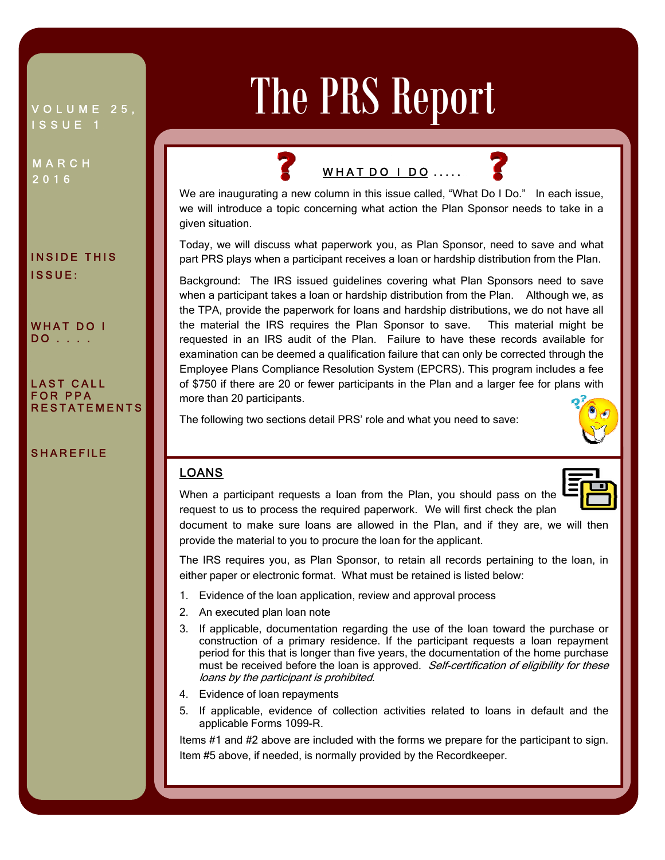VOLUME 25, ISSUE 1

MARCH 2016

INSIDE THIS ISSUE:

WHAT DO I DO . . . .

LAST CALL FOR PPA RESTATEMENTS

## SHAREFILE

# The PRS Report

## WHAT DO  $\vert$  DO  $\ldots$ .

Ī Ξ



We are inaugurating a new column in this issue called, "What Do I Do." In each issue, we will introduce a topic concerning what action the Plan Sponsor needs to take in a given situation.

Today, we will discuss what paperwork you, as Plan Sponsor, need to save and what part PRS plays when a participant receives a loan or hardship distribution from the Plan.

Background: The IRS issued guidelines covering what Plan Sponsors need to save when a participant takes a loan or hardship distribution from the Plan. Although we, as the TPA, provide the paperwork for loans and hardship distributions, we do not have all the material the IRS requires the Plan Sponsor to save. This material might be requested in an IRS audit of the Plan. Failure to have these records available for examination can be deemed a qualification failure that can only be corrected through the Employee Plans Compliance Resolution System (EPCRS). This program includes a fee of \$750 if there are 20 or fewer participants in the Plan and a larger fee for plans with more than 20 participants.

The following two sections detail PRS' role and what you need to save:



#### Ϊ LOANS



When a participant requests a loan from the Plan, you should pass on the request to us to process the required paperwork. We will first check the plan

document to make sure loans are allowed in the Plan, and if they are, we will then provide the material to you to procure the loan for the applicant.

The IRS requires you, as Plan Sponsor, to retain all records pertaining to the loan, in either paper or electronic format. What must be retained is listed below:

- 1. Evidence of the loan application, review and approval process
- 2. An executed plan loan note
- 3. If applicable, documentation regarding the use of the loan toward the purchase or construction of a primary residence. If the participant requests a loan repayment period for this that is longer than five years, the documentation of the home purchase must be received before the loan is approved. Self-certification of eligibility for these loans by the participant is prohibited.
- 4. Evidence of loan repayments
- 5. If applicable, evidence of collection activities related to loans in default and the applicable Forms 1099-R.

Items #1 and #2 above are included with the forms we prepare for the participant to sign. Item #5 above, if needed, is normally provided by the Recordkeeper.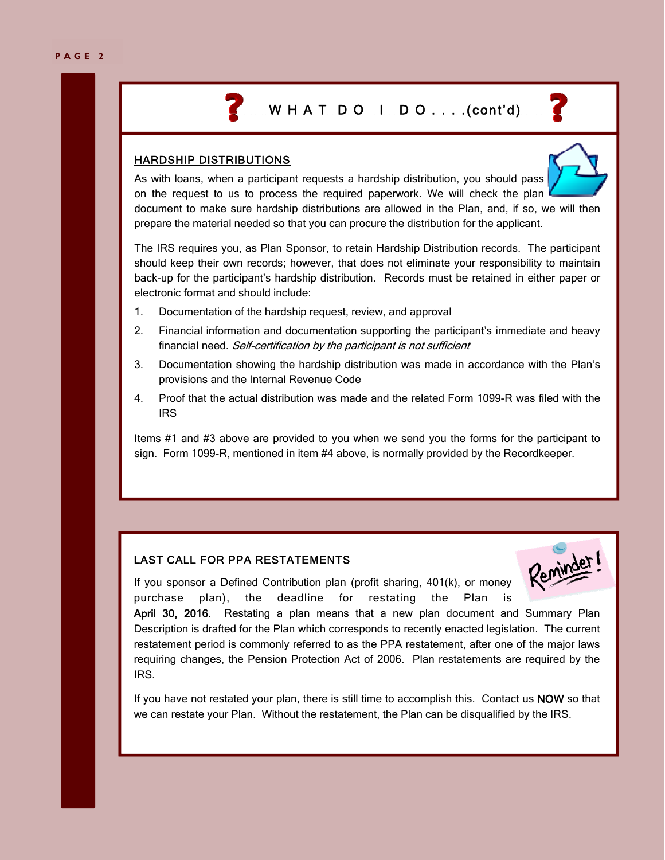## W H A T D O I D O . . . . (cont'd)

## HARDSHIP DISTRIBUTIONS



As with loans, when a participant requests a hardship distribution, you should pass on the request to us to process the required paperwork. We will check the plan document to make sure hardship distributions are allowed in the Plan, and, if so, we will then prepare the material needed so that you can procure the distribution for the applicant.

The IRS requires you, as Plan Sponsor, to retain Hardship Distribution records. The participant should keep their own records; however, that does not eliminate your responsibility to maintain back-up for the participant's hardship distribution. Records must be retained in either paper or electronic format and should include:

- 1. Documentation of the hardship request, review, and approval
- 2. Financial information and documentation supporting the participant's immediate and heavy financial need. Self-certification by the participant is not sufficient
- 3. Documentation showing the hardship distribution was made in accordance with the Plan's provisions and the Internal Revenue Code
- 4. Proof that the actual distribution was made and the related Form 1099-R was filed with the IRS

Items #1 and #3 above are provided to you when we send you the forms for the participant to sign. Form 1099-R, mentioned in item #4 above, is normally provided by the Recordkeeper.

## LAST CALL FOR PPA RESTATEMENTS



If you sponsor a Defined Contribution plan (profit sharing, 401(k), or money purchase plan), the deadline for restating the Plan is

April 30, 2016. Restating a plan means that a new plan document and Summary Plan Description is drafted for the Plan which corresponds to recently enacted legislation. The current restatement period is commonly referred to as the PPA restatement, after one of the major laws requiring changes, the Pension Protection Act of 2006. Plan restatements are required by the IRS.

If you have not restated your plan, there is still time to accomplish this. Contact us NOW so that we can restate your Plan. Without the restatement, the Plan can be disqualified by the IRS.